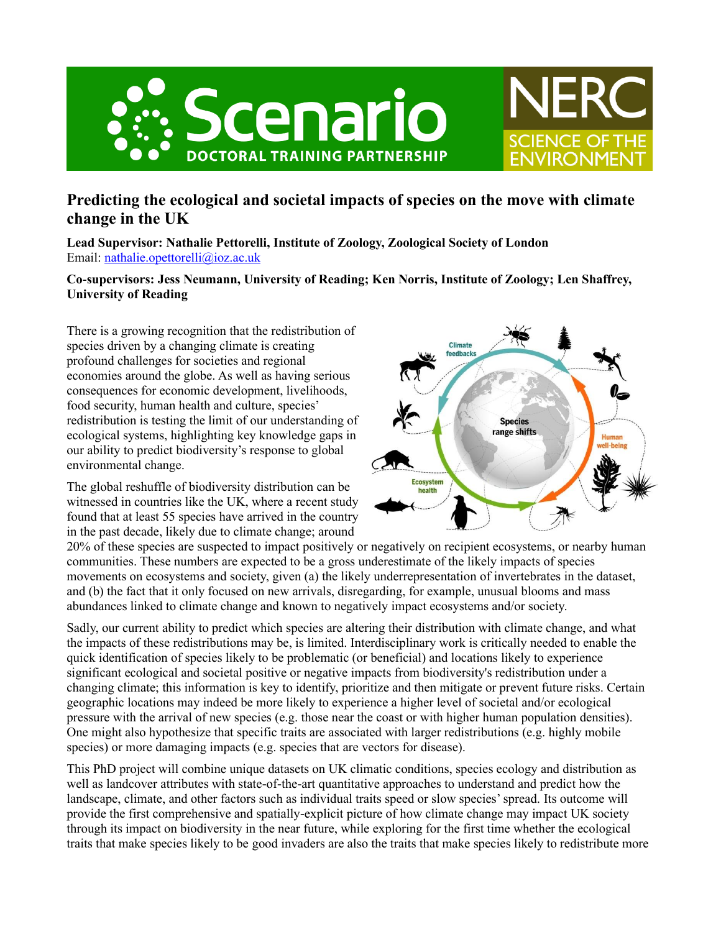



**Lead Supervisor: Nathalie Pettorelli, Institute of Zoology, Zoological Society of London** Email: [nathalie.opettorelli@ioz.ac.uk](mailto:nathalie.opettorelli@ioz.ac.uk)

## **Co-supervisors: Jess Neumann, University of Reading; Ken Norris, Institute of Zoology; Len Shaffrey, University of Reading**

There is a growing recognition that the redistribution of species driven by a changing climate is creating profound challenges for societies and regional economies around the globe. As well as having serious consequences for economic development, livelihoods, food security, human health and culture, species' redistribution is testing the limit of our understanding of ecological systems, highlighting key knowledge gaps in our ability to predict biodiversity's response to global environmental change.

The global reshuffle of biodiversity distribution can be witnessed in countries like the UK, where a recent study found that at least 55 species have arrived in the country in the past decade, likely due to climate change; around



**SCIENCE OF THE** 

**FNVIRONMFI** 

20% of these species are suspected to impact positively or negatively on recipient ecosystems, or nearby human communities. These numbers are expected to be a gross underestimate of the likely impacts of species movements on ecosystems and society, given (a) the likely underrepresentation of invertebrates in the dataset, and (b) the fact that it only focused on new arrivals, disregarding, for example, unusual blooms and mass abundances linked to climate change and known to negatively impact ecosystems and/or society.

Sadly, our current ability to predict which species are altering their distribution with climate change, and what the impacts of these redistributions may be, is limited. Interdisciplinary work is critically needed to enable the quick identification of species likely to be problematic (or beneficial) and locations likely to experience significant ecological and societal positive or negative impacts from biodiversity's redistribution under a changing climate; this information is key to identify, prioritize and then mitigate or prevent future risks. Certain geographic locations may indeed be more likely to experience a higher level of societal and/or ecological pressure with the arrival of new species (e.g. those near the coast or with higher human population densities). One might also hypothesize that specific traits are associated with larger redistributions (e.g. highly mobile species) or more damaging impacts (e.g. species that are vectors for disease).

This PhD project will combine unique datasets on UK climatic conditions, species ecology and distribution as well as landcover attributes with state-of-the-art quantitative approaches to understand and predict how the landscape, climate, and other factors such as individual traits speed or slow species' spread. Its outcome will provide the first comprehensive and spatially-explicit picture of how climate change may impact UK society through its impact on biodiversity in the near future, while exploring for the first time whether the ecological traits that make species likely to be good invaders are also the traits that make species likely to redistribute more